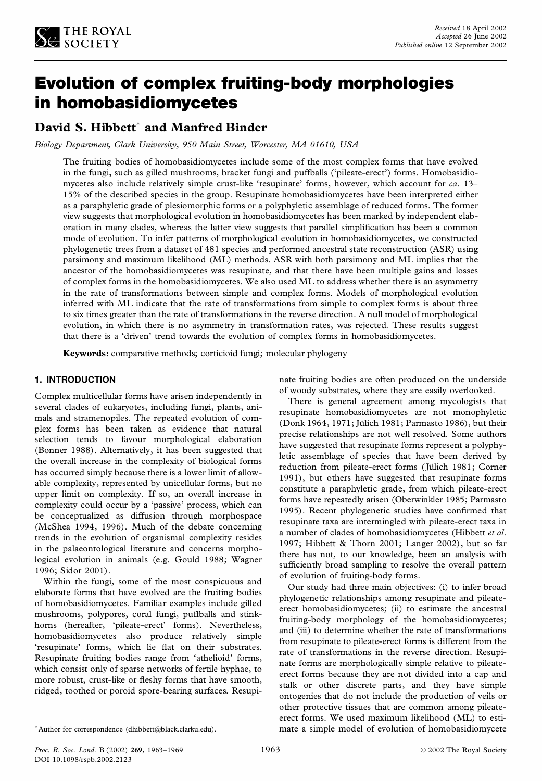

# Evolution of complex fruiting-body morphologies in homobasidiomycetes

# **David S. Hibbett** \* **and Manfred Binder**

*Biology Department, Clark University, 950 Main Street, Worcester, MA 01610, USA*

The fruiting bodies of homobasidiomycetes include some of the most complex forms that have evolved in the fungi, such as gilled mushrooms, bracket fungi and puffballs ('pileate-erect') forms. Homobasidio mycetes also include relatively simple crust-like 'resupinate' forms, however, which account for *ca*. 13– 15% of the described species in the group. Resupinate homobasidiomycetes have been interpreted either as a paraphyletic grade of plesiomorphic forms or a polyphyletic assemblage of reduced forms. The former view suggests that morphological evolution in homobasidiomycetes has been marked by independent elab oration in many clades, whereas the latter view suggests that parallel simplification has been a common mode of evolution. To infer patterns of morphological evolution in homobasidiomycetes, we constructed phylogenetic trees from a dataset of 481 species and performed ancestral state reconstruction (ASR) using parsimony and maximum likelihood (ML) methods. ASR with both parsimony and ML implies that the ancestor of the homobasidiomycetes was resupinate, and that there have been multiple gains and losses of complex forms in the homobasidiomycetes. We also used ML to address whether there is an asymmetry in the rate of transformations between simple and complex forms. Models of morphological evolution inferred with ML indicate that the rate of transformations from simple to complex forms is about three to six times greater than the rate of transformations in the reverse direction. A null model of morphological evolution, in which there is no asymmetry in transformation rates, was rejected. These results suggest that there is a 'driven' trend towards the evolution of complex forms in homobasidiomycetes.

**Keywords:** comparative methods; corticioid fungi; molecular phylogeny

# **1. INTRODUCTION**

Complex multicellular forms have arisen independently in several clades of eukaryotes, including fungi, plants, ani mals and stramenopiles. The repeated evolution of com plex forms has been taken as evidence that natural selection tends to favour morphological elaboration (Bonner 1988). Alternatively, it has been suggested that the overall increase in the complexity of biological forms has occurred simply because there is a lower limit of allow able complexity, represented by unicellular forms, but no upper limit on complexity. If so, an overall increase in complexity could occur by a 'passive' process, which can be conceptualized as diffusion through morphospace (McShea 1994, 1996). Much of the debate concerning trends in the evolution of organismal complexity resides in the palaeontological literature and concerns morphological evolution in animals (e.g. Gould 1988; Wagner 1996; Sidor 2001).

Within the fungi, some of the most conspicuous and elaborate forms that have evolved are the fruiting bodies of homobasidiomycetes. Familiar examples include gilled mushrooms, polypores, coral fungi, puffballs and stink horns (hereafter, 'pileate-erect' forms). Nevertheless, homobasidiomycetes also produce relatively simple 'resupinate' forms, which lie flat on their substrates. Resupinate fruiting bodies range from 'athelioid' forms, which consist only of sparse networks of fertile hyphae, to more robust, crust-like or fleshy forms that have smooth, ridged, toothed or poroid spore-bearing surfaces. Resupinate fruiting bodies are often produced on the underside of woody substrates, where they are easily overlooked.

There is general agreement among mycologists that resupinate homobasidiomycetes are not monophyletic (Donk 1964, 1971; Jülich 1981; Parmasto 1986), but their precise relationships are not well resolved. Some authors have suggested that resupinate forms represent a polyphyletic assemblage of species that have been derived by reduction from pileate-erect forms (Jülich 1981; Corner 1991), but others have suggested that resupinate forms constitute a paraphyletic grade, from which pileate-erect forms have repeatedly arisen (Oberwinkler 1985; Parmasto 1995). Recent phylogenetic studies have confirmed that resupinate taxa are intermingled with pileate-erect taxa in a number of clades of homobasidiomycetes (Hibbett *et al*. 1997; Hibbett & Thorn 2001; Langer 2002), but so far there has not, to our knowledge, been an analysis with sufficiently broad sampling to resolve the overall pattern of evolution of fruiting-body forms.

Our study had three main objectives: (i) to infer broad phylogenetic relationships among resupinate and pileate erect homobasidiomycetes; (ii) to estimate the ancestral fruiting-body morphology of the homobasidiomycetes; and (iii) to determine whether the rate of transformations from resupinate to pileate-erect forms is different from the rate of transformations in the reverse direction. Resupi nate forms are morphologically simple relative to pileate erect forms because they are not divided into a cap and stalk or other discrete parts, and they have simple ontogenies that do not include the production of veils or other protective tissues that are common among pileate erect forms. We used maximum likelihood (ML) to esti mate a simple model of evolution of homobasidiomycete

<sup>\*</sup>Author for correspondence (dhibbett@black.clarku.edu).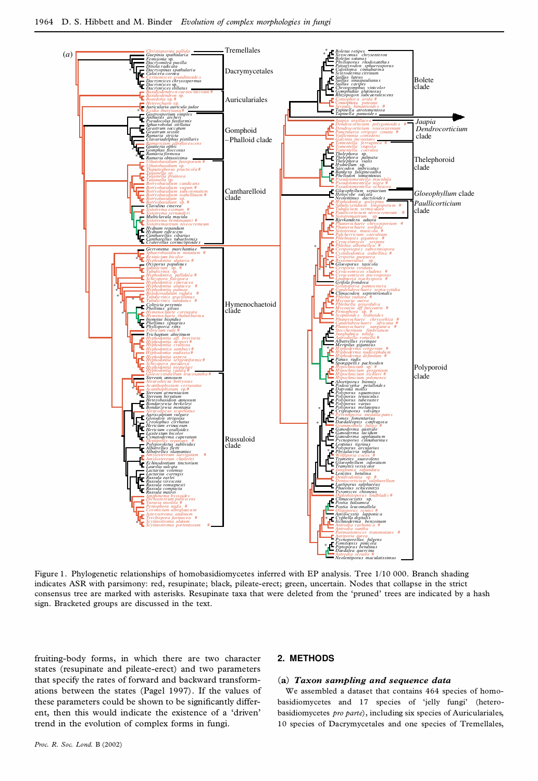

Figure 1. Phylogenetic relationships of homobasidiomycetes inferred with EP analysis. Tree 1/10 000. Branch shading indicates ASR with parsimony: red, resupinate; black, pileate-erect; green, uncertain. Nodes that collapse in the strict consensus tree are marked with asterisks. Resupinate taxa that were deleted from the 'pruned' trees are indicated by a hash sign. Bracketed groups are discussed in the text.

fruiting-body forms, in which there are two character states (resupinate and pileate-erect) and two parameters that specify the rates of forward and backward transform ations between the states (Pagel 1997). If the values of these parameters could be shown to be significantly different, then this would indicate the existence of a 'driven' trend in the evolution of complex forms in fungi.

# **2. METHODS**

# (**a**) *Taxon sampling and sequence data*

We assembled a dataset that contains 464 species of homo basidiomycetes and 17 species of 'jelly fungi' (heterobasidiomycetes *pro parte*), including six species of Auriculariales, 10 species of Dacrymycetales and one species of Tremellales,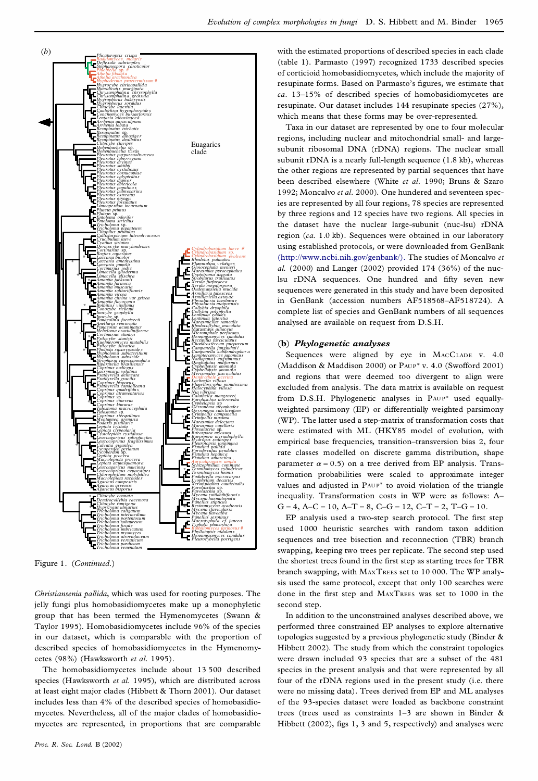

Figure 1. (*Continued*.)

*Christiansenia pallida*, which was used for rooting purposes. The jelly fungi plus homobasidiomycetes make up a monophyletic group that has been termed the Hymenomycetes (Swann & Taylor 1995). Homobasidiomycetes include 96% of the species in our dataset, which is comparable with the proportion of described species of homobasidiomycetes in the Hymenomy cetes (98%) (Hawksworth *et al.* 1995).

The homobasidiomycetes include about 13 500 described species (Hawksworth *et al.* 1995), which are distributed across at least eight major clades (Hibbett & Thorn 2001). Our dataset includes less than 4% of the described species of homobasidio mycetes. Nevertheless, all of the major clades of homobasidio mycetes are represented, in proportions that are comparable with the estimated proportions of described species in each clade (table 1). Parmasto (1997) recognized 1733 described species of corticioid homobasidiomycetes, which include the majority of resupinate forms. Based on Parmasto's figures, we estimate that *ca*. 13–15% of described species of homobasidiomycetes are resupinate. Our dataset includes 144 resupinate species (27%), which means that these forms may be over-represented.

Taxa in our dataset are represented by one to four molecular regions, including nuclear and mitochondrial small- and largesubunit ribosomal DNA (rDNA) regions. The nuclear small subunit rDNA is a nearly full-length sequence (1.8 kb), whereas the other regions are represented by partial sequences that have been described elsewhere (White *et al.* 1990; Bruns & Szaro 1992; Moncalvo *et al.* 2000). One hundered and seventeen species are represented by all four regions, 78 species are represented by three regions and 12 species have two regions. All species in the dataset have the nuclear large-subunit (nuc-lsu) rDNA region (*ca*. 1.0 kb). Sequences were obtained in our laboratory using established protocols, or were downloaded from GenBank [\(http://www.ncbi.nih.gov/genbank/\).](http://www.ncbi.nih.gov/genbank/) The studies of Moncalvo *et al.* (2000) and Langer (2002) provided 174 (36%) of the nuclsu rDNA sequences. One hundred and fifty seven new sequences were generated in this study and have been deposited in GenBank (accession numbers AF518568–AF518724). A complete list of species and GenBank numbers of all sequences analysed are available on request from D.S.H.

## (**b**) *Phylogenetic analyses*

Sequences were aligned by eye in MACCLADE v. 4.0 (Maddison & Maddison 2000) or  $P_{AUP}^*$  v. 4.0 (Swofford 2001) and regions that were deemed too divergent to align were excluded from analysis. The data matrix is available on request from  $D.S.H.$  Phylogenetic analyses in  $P_AUP^*$  used equallyweighted parsimony (EP) or differentially weighted parsimony (WP). The latter used a step-matrix of transformation costs that were estimated with ML (HKY85 model of evolution, with empirical base frequencies, transition–transversion bias 2, four rate classes modelled on discrete gamma distribution, shape parameter  $\alpha = 0.5$ ) on a tree derived from EP analysis. Transformation probabilities were scaled to approximate integer values and adjusted in  $P_{AUP}^*$  to avoid violation of the triangle inequality. Transformation costs in WP were as follows: A–  $G = 4$ , A–C = 10, A–T = 8, C–G = 12, C–T = 2, T–G = 10.

EP analysis used a two-step search protocol. The first step used 1000 heuristic searches with random taxon addition sequences and tree bisection and reconnection (TBR) branch swapping, keeping two trees per replicate. The second step used the shortest trees found in the first step as starting trees for TBR branch swapping, with MaxTrees set to 10 000. The WP analysis used the same protocol, except that only 100 searches were done in the first step and MAxTREES was set to 1000 in the second step.

In addition to the unconstrained analyses described above, we performed three constrained EP analyses to explore alternative topologies suggested by a previous phylogenetic study (Binder & Hibbett 2002). The study from which the constraint topologies were drawn included 93 species that are a subset of the 481 species in the present analysis and that were represented by all four of the rDNA regions used in the present study (i.e. there were no missing data). Trees derived from EP and ML analyses of the 93-species dataset were loaded as backbone constraint trees (trees used as constraints 1–3 are shown in Binder & Hibbett (2002), figs 1, 3 and 5, respectively) and analyses were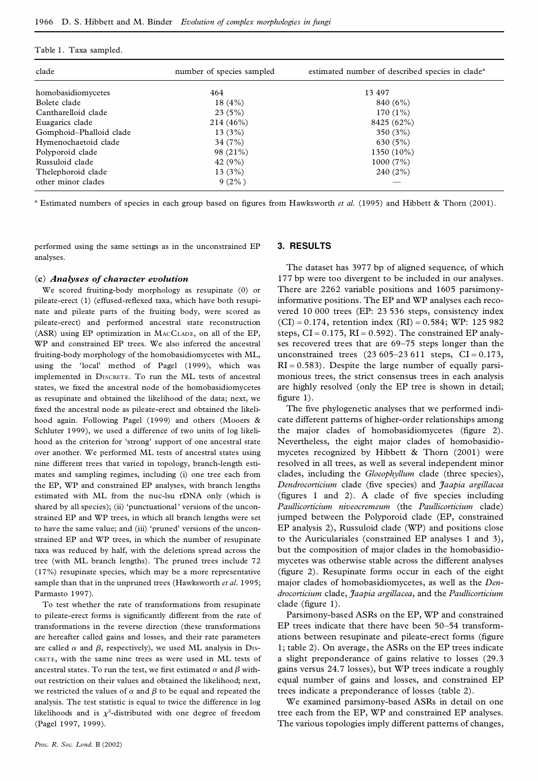#### Table 1. Taxa sampled.

| clade                   | number of species sampled | estimated number of described species in clade <sup>a</sup> |  |  |  |
|-------------------------|---------------------------|-------------------------------------------------------------|--|--|--|
| homobasidiomycetes      | 464                       | 13 497                                                      |  |  |  |
| Bolete clade            | 18(4%)                    | 840 (6%)                                                    |  |  |  |
| Cantharelloid clade     | 23(5%)                    | 170 (1%)                                                    |  |  |  |
| Euagarics clade         | $214(46\%)$               | 8425 (62%)                                                  |  |  |  |
| Gomphoid-Phalloid clade | 13(3%)                    | 350 (3%)                                                    |  |  |  |
| Hymenochaetoid clade    | 34 (7%)                   | 630(5%)                                                     |  |  |  |
| Polyporoid clade        | 98 (21%)                  | 1350 (10%)                                                  |  |  |  |
| Russuloid clade         | 42 $(9\%)$                | 1000(7%)                                                    |  |  |  |
| Thelephoroid clade      | 13(3%)                    | $240(2\%)$                                                  |  |  |  |
| other minor clades      | $9(2\%)$                  |                                                             |  |  |  |

<sup>a</sup> Estimated numbers of species in each group based on figures from Hawksworth *et al.* (1995) and Hibbett & Thorn (2001).

performed using the same settings as in the unconstrained EP analyses.

# (**c**) *Analyses of character evolution*

We scored fruiting-body morphology as resupinate (0) or pileate-erect (1) (effused-reflexed taxa, which have both resupinate and pileate parts of the fruiting body, were scored as pileate-erect) and performed ancestral state reconstruction (ASR) using EP optimization in MacClade, on all of the EP, WP and constrained EP trees. We also inferred the ancestral fruiting-body morphology of the homobasidiomycetes with ML, using the 'local' method of Pagel (1999), which was implemented in DISCRETE. To run the ML tests of ancestral states, we fixed the ancestral node of the homobasidiomycetes as resupinate and obtained the likelihood of the data; next, we fixed the ancestral node as pileate-erect and obtained the likelihood again. Following Pagel (1999) and others (Mooers & Schluter 1999), we used a difference of two units of log likeli hood as the criterion for 'strong' support of one ancestral state over another. We performed ML tests of ancestral states using nine different trees that varied in topology, branch-length esti mates and sampling regimes, including (i) one tree each from the EP, WP and constrained EP analyses, with branch lengths estimated with ML from the nuc-lsu rDNA only (which is shared by all species); (ii) 'punctuational' versions of the unconstrained EP and WP trees, in which all branch lengths were set to have the same value; and (iii) 'pruned' versions of the unconstrained EP and WP trees, in which the number of resupinate taxa was reduced by half, with the deletions spread across the tree (with ML branch lengths). The pruned trees include 72 (17%) resupinate species, which may be a more representative sample than that in the unpruned trees (Hawksworth *et al.* 1995; Parmasto 1997).

To test whether the rate of transformations from resupinate to pileate-erect forms is significantly different from the rate of transformations in the reverse direction (these transformations are hereafter called gains and losses, and their rate parameters are called  $\alpha$  and  $\beta$ , respectively), we used ML analysis in D<sub>15</sub>-CRETE, with the same nine trees as were used in ML tests of ancestral states. To run the test, we first estimated  $\alpha$  and  $\beta$  without restriction on their values and obtained the likelihood; next, we restricted the values of  $\alpha$  and  $\beta$  to be equal and repeated the analysis. The test statistic is equal to twice the difference in log likelihoods and is  $\chi^2$ -distributed with one degree of freedom to (Pagel 1997, 1999).

#### **3. RESULTS**

The dataset has 3977 bp of aligned sequence, of which 177 bp were too divergent to be included in our analyses. There are 2262 variable positions and 1605 parsimonyinformative positions. The EP and WP analyses each reco vered 10 000 trees (EP: 23 536 steps, consistency index  $(CI) = 0.174$ , retention index  $(RI) = 0.584$ ; WP: 125 982 steps,  $CI = 0.175$ ,  $RI = 0.592$ ). The constrained EP analyses recovered trees that are 69–75 steps longer than the unconstrained trees  $(23\,605-23\,611$  steps,  $CI = 0.173$ ,  $RI = 0.583$ ). Despite the large number of equally parsimonious trees, the strict consensus trees in each analysis are highly resolved (only the EP tree is shown in detail; figure  $1$ ).

The five phylogenetic analyses that we performed indicate different patterns of higher-order relationships among the major clades of homobasidiomycetes (figure 2). Nevertheless, the eight major clades of homobasidio mycetes recognized by Hibbett & Thorn (2001) were resolved in all trees, as well as several independent minor clades, including the *Gloeophyllum* clade (three species), *Dendrocorticium* clade ( ve species) and *Jaapia argillacea* (figures  $1$  and  $2$ ). A clade of five species including *Paullicorticium niveocremeum* (the *Paullicorticium* clade) jumped between the Polyporoid clade (EP, constrained EP analysis 2), Russuloid clade (WP) and positions close to the Auriculariales (constrained EP analyses 1 and 3), but the composition of major clades in the homobasidio mycetes was otherwise stable across the different analyses (figure 2). Resupinate forms occur in each of the eight major clades of homobasidiomycetes, as well as the *Dendrocorticium* clade, *Jaapia argillacea*, and the *Paullicorticium* clade (figure 1).

Parsimony-based ASRs on the EP, WP and constrained EP trees indicate that there have been 50–54 transform ations between resupinate and pileate-erect forms (figure 1; table 2). On average, the ASRs on the EP trees indicate a slight preponderance of gains relative to losses (29.3 gains versus 24.7 losses), but WP trees indicate a roughly equal number of gains and losses, and constrained EP trees indicate a preponderance of losses (table 2).

We examined parsimony-based ASRs in detail on one tree each from the EP, WP and constrained EP analyses. The various topologies imply different patterns of changes,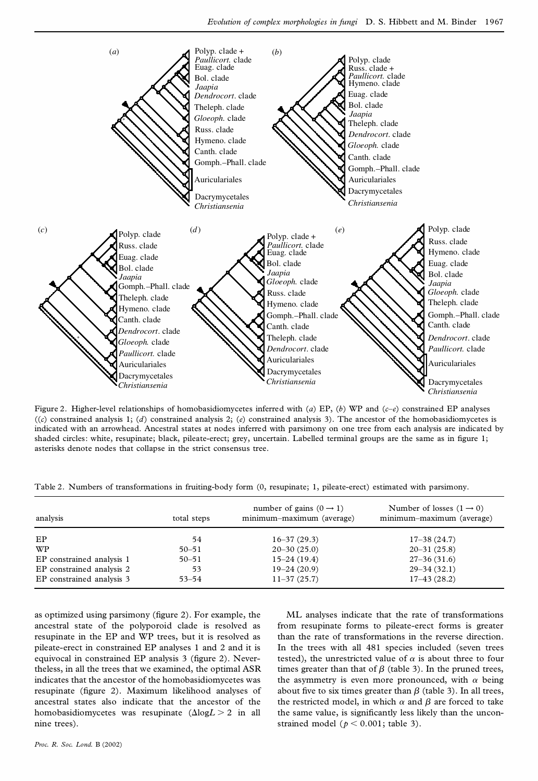

Figure 2. Higher-level relationships of homobasidiomycetes inferred with (*a*) EP, (*b*) WP and (*c*–*e*) constrained EP analyses ((*c*) constrained analysis 1; (*d*) constrained analysis 2; (*e*) constrained analysis 3). The ancestor of the homobasidiomycetes is indicated with an arrowhead. Ancestral states at nodes inferred with parsimony on one tree from each analysis are indicated by shaded circles: white, resupinate; black, pileate-erect; grey, uncertain. Labelled terminal groups are the same as in gure 1; asterisks denote nodes that collapse in the strict consensus tree.

Table 2. Numbers of transformations in fruiting-body form (0, resupinate; 1, pileate-erect) estimated with parsimony.

| analysis                  | total steps | number of gains $(0 \rightarrow 1)$<br>minimum-maximum (average) | Number of losses $(1 \rightarrow 0)$<br>minimum-maximum (average) |  |
|---------------------------|-------------|------------------------------------------------------------------|-------------------------------------------------------------------|--|
| EP                        | 54          | $16 - 37(29.3)$                                                  | $17 - 38(24.7)$                                                   |  |
| <b>WP</b>                 | $50 - 51$   | $20 - 30(25.0)$                                                  | $20 - 31(25.8)$                                                   |  |
| EP constrained analysis 1 | $50 - 51$   | $15 - 24(19.4)$                                                  | $27 - 36(31.6)$                                                   |  |
| EP constrained analysis 2 | 53          | $19 - 24(20.9)$                                                  | $29 - 34(32.1)$                                                   |  |
| EP constrained analysis 3 | $53 - 54$   | $11-37(25.7)$                                                    | $17 - 43(28.2)$                                                   |  |

as optimized using parsimony (figure 2). For example, the ancestral state of the polyporoid clade is resolved as resupinate in the EP and WP trees, but it is resolved as pileate-erect in constrained EP analyses 1 and 2 and it is equivocal in constrained EP analysis 3 (figure 2). Nevertheless, in all the trees that we examined, the optimal ASR indicates that the ancestor of the homobasidiomycetes was resupinate (figure 2). Maximum likelihood analyses of ancestral states also indicate that the ancestor of the homobasidiomycetes was resupinate  $(\Delta$ log $L > 2$  in all nine trees).

ML analyses indicate that the rate of transformations from resupinate forms to pileate-erect forms is greater than the rate of transformations in the reverse direction. In the trees with all 481 species included (seven trees tested), the unrestricted value of  $\alpha$  is about three to four times greater than that of  $\beta$  (table 3). In the pruned trees, the asymmetry is even more pronounced, with  $\alpha$  being about five to six times greater than  $\beta$  (table 3). In all trees, the restricted model, in which  $\alpha$  and  $\beta$  are forced to take the same value, is significantly less likely than the unconstrained model ( $p < 0.001$ ; table 3).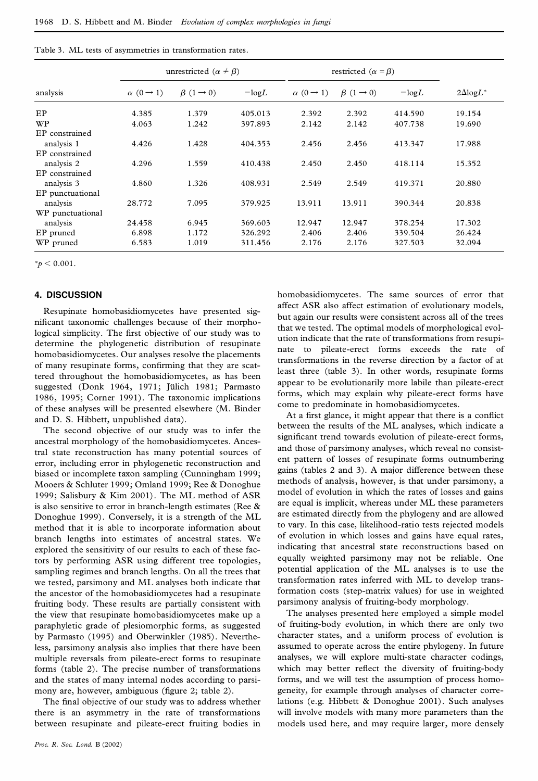|                  | unrestricted ( $\alpha \neq \beta$ ) |                             |           | restricted ( $\alpha = \beta$ ) |                             |           |                     |
|------------------|--------------------------------------|-----------------------------|-----------|---------------------------------|-----------------------------|-----------|---------------------|
| analysis         | $\alpha$ (0 $\rightarrow$ 1)         | $\beta$ (1 $\rightarrow$ 0) | $-\log L$ | $\alpha$ (0 $\rightarrow$ 1)    | $\beta$ (1 $\rightarrow$ 0) | $-\log L$ | $2\Delta$ log $L^*$ |
| EP               | 4.385                                | 1.379                       | 405.013   | 2.392                           | 2.392                       | 414.590   | 19.154              |
| WP               | 4.063                                | 1.242                       | 397.893   | 2.142                           | 2.142                       | 407.738   | 19.690              |
| EP constrained   |                                      |                             |           |                                 |                             |           |                     |
| analysis 1       | 4.426                                | 1.428                       | 404.353   | 2.456                           | 2.456                       | 413.347   | 17.988              |
| EP constrained   |                                      |                             |           |                                 |                             |           |                     |
| analysis 2       | 4.296                                | 1.559                       | 410.438   | 2.450                           | 2.450                       | 418.114   | 15.352              |
| EP constrained   |                                      |                             |           |                                 |                             |           |                     |
| analysis 3       | 4.860                                | 1.326                       | 408.931   | 2.549                           | 2.549                       | 419.371   | 20.880              |
| EP punctuational |                                      |                             |           |                                 |                             |           |                     |
| analysis         | 28.772                               | 7.095                       | 379.925   | 13.911                          | 13.911                      | 390.344   | 20.838              |
| WP punctuational |                                      |                             |           |                                 |                             |           |                     |
| analysis         | 24.458                               | 6.945                       | 369.603   | 12.947                          | 12.947                      | 378.254   | 17.302              |
| EP pruned        | 6.898                                | 1.172                       | 326.292   | 2.406                           | 2.406                       | 339.504   | 26.424              |
| WP pruned        | 6.583                                | 1.019                       | 311.456   | 2.176                           | 2.176                       | 327.503   | 32.094              |

Table 3. ML tests of asymmetries in transformation rates.

 ${}^*\!p$  < 0.001.

#### **4. DISCUSSION**

Resupinate homobasidiomycetes have presented sig nificant taxonomic challenges because of their morphological simplicity. The first objective of our study was to determine the phylogenetic distribution of resupinate homobasidiomycetes. Our analyses resolve the placements of many resupinate forms, confirming that they are scattered throughout the homobasidiomycetes, as has been suggested (Donk 1964, 1971; Jülich 1981; Parmasto 1986, 1995; Corner 1991). The taxonomic implications of these analyses will be presented elsewhere (M. Binder and D. S. Hibbett, unpublished data).

The second objective of our study was to infer the ancestral morphology of the homobasidiomycetes. Ancestral state reconstruction has many potential sources of error, including error in phylogenetic reconstruction and biased or incomplete taxon sampling (Cunningham 1999; Mooers & Schluter 1999; Omland 1999; Ree & Donoghue 1999; Salisbury & Kim 2001). The ML method of ASR is also sensitive to error in branch-length estimates (Ree & Donoghue 1999). Conversely, it is a strength of the ML method that it is able to incorporate information about branch lengths into estimates of ancestral states. We explored the sensitivity of our results to each of these factors by performing ASR using different tree topologies, sampling regimes and branch lengths. On all the trees that we tested, parsimony and ML analyses both indicate that the ancestor of the homobasidiomycetes had a resupinate fruiting body. These results are partially consistent with the view that resupinate homobasidiomycetes make up a paraphyletic grade of plesiomorphic forms, as suggested by Parmasto (1995) and Oberwinkler (1985). Nevertheless, parsimony analysis also implies that there have been multiple reversals from pileate-erect forms to resupinate forms (table 2). The precise number of transformations and the states of many internal nodes according to parsi mony are, however, ambiguous (figure 2; table 2).

The final objective of our study was to address whether there is an asymmetry in the rate of transformations between resupinate and pileate-erect fruiting bodies in

*Proc. R. Soc. Lond.* B (2002)

homobasidiomycetes. The same sources of error that affect ASR also affect estimation of evolutionary models, but again our results were consistent across all of the trees that we tested. The optimal models of morphological evol ution indicate that the rate of transformations from resupi nate to pileate-erect forms exceeds the rate of transformations in the reverse direction by a factor of at least three (table 3). In other words, resupinate forms appear to be evolutionarily more labile than pileate-erect forms, which may explain why pileate-erect forms have come to predominate in homobasidiomycetes.

At a first glance, it might appear that there is a conflict between the results of the ML analyses, which indicate a significant trend towards evolution of pileate-erect forms, and those of parsimony analyses, which reveal no consist ent pattern of losses of resupinate forms outnumbering gains (tables 2 and 3). A major difference between these methods of analysis, however, is that under parsimony, a model of evolution in which the rates of losses and gains are equal is implicit, whereas under ML these parameters are estimated directly from the phylogeny and are allowed to vary. In this case, likelihood-ratio tests rejected models of evolution in which losses and gains have equal rates, indicating that ancestral state reconstructions based on equally weighted parsimony may not be reliable. One potential application of the ML analyses is to use the transformation rates inferred with ML to develop transformation costs (step-matrix values) for use in weighted parsimony analysis of fruiting-body morphology.

The analyses presented here employed a simple model of fruiting-body evolution, in which there are only two character states, and a uniform process of evolution is assumed to operate across the entire phylogeny. In future analyses, we will explore multi-state character codings, which may better reflect the diversity of fruiting-body forms, and we will test the assumption of process homo geneity, for example through analyses of character correlations (e.g. Hibbett & Donoghue 2001). Such analyses will involve models with many more parameters than the models used here, and may require larger, more densely